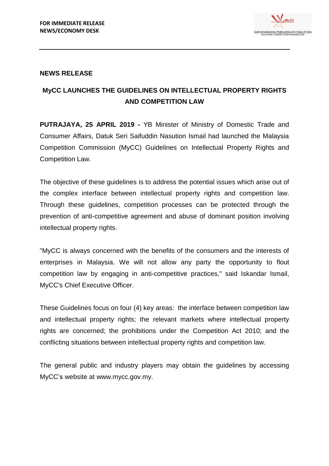

## **NEWS RELEASE**

## **MyCC LAUNCHES THE GUIDELINES ON INTELLECTUAL PROPERTY RIGHTS AND COMPETITION LAW**

**PUTRAJAYA, 25 APRIL 2019 -** YB Minister of Ministry of Domestic Trade and Consumer Affairs, Datuk Seri Saifuddin Nasution Ismail had launched the Malaysia Competition Commission (MyCC) Guidelines on Intellectual Property Rights and Competition Law.

The objective of these guidelines is to address the potential issues which arise out of the complex interface between intellectual property rights and competition law. Through these guidelines, competition processes can be protected through the prevention of anti-competitive agreement and abuse of dominant position involving intellectual property rights.

"MyCC is always concerned with the benefits of the consumers and the interests of enterprises in Malaysia. We will not allow any party the opportunity to flout competition law by engaging in anti-competitive practices," said Iskandar Ismail, MyCC's Chief Executive Officer.

These Guidelines focus on four (4) key areas: the interface between competition law and intellectual property rights; the relevant markets where intellectual property rights are concerned; the prohibitions under the Competition Act 2010; and the conflicting situations between intellectual property rights and competition law.

The general public and industry players may obtain the guidelines by accessing MyCC's website at www.mycc.gov.my.